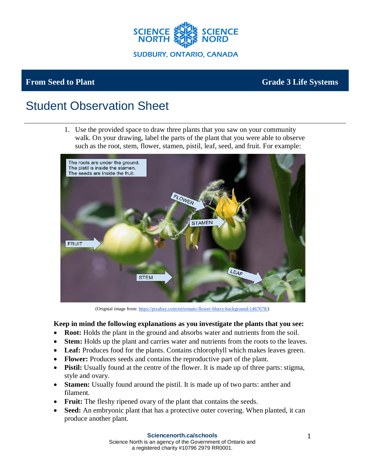

**sujet**

## **From Seed to Plant Grade 3 Life Systems**

# Student Observation Sheet

1. Use the provided space to draw three plants that you saw on your community walk. On your drawing, label the parts of the plant that you were able to observe such as the root, stem, flower, stamen, pistil, leaf, seed, and fruit. For example:



(Orignial image from[: https://pixabay.com/en/tomato-flower-blurry-background-1467678/\)](https://pixabay.com/en/tomato-flower-blurry-background-1467678/)

### **Keep in mind the following explanations as you investigate the plants that you see:**

- **Root:** Holds the plant in the ground and absorbs water and nutrients from the soil.
- **Stem:** Holds up the plant and carries water and nutrients from the roots to the leaves.
- Leaf: Produces food for the plants. Contains chlorophyll which makes leaves green.
- **Flower:** Produces seeds and contains the reproductive part of the plant.
- **Pistil:** Usually found at the centre of the flower. It is made up of three parts: stigma, style and ovary.
- **Stamen:** Usually found around the pistil. It is made up of two parts: anther and filament.
- **Fruit:** The fleshy ripened ovary of the plant that contains the seeds.
- **Seed:** An embryonic plant that has a protective outer covering. When planted, it can produce another plant.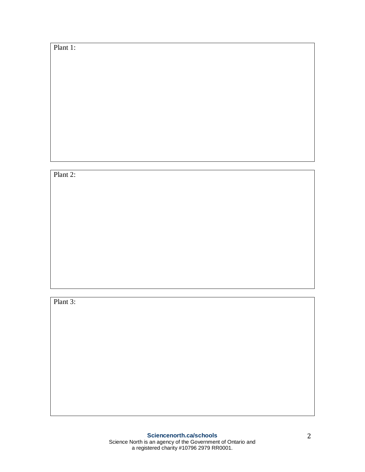Plant 1:

Plant 2:

Plant 3: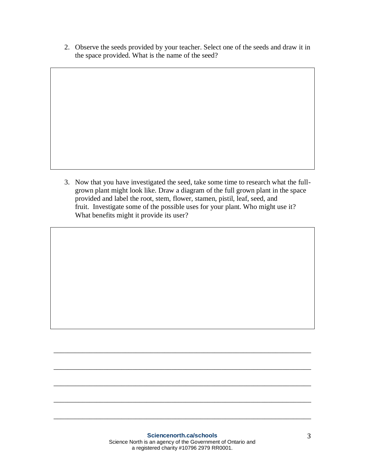2. Observe the seeds provided by your teacher. Select one of the seeds and draw it in the space provided. What is the name of the seed?

3. Now that you have investigated the seed, take some time to research what the fullgrown plant might look like. Draw a diagram of the full grown plant in the space provided and label the root, stem, flower, stamen, pistil, leaf, seed, and fruit. Investigate some of the possible uses for your plant. Who might use it? What benefits might it provide its user?

\_\_\_\_\_\_\_\_\_\_\_\_\_\_\_\_\_\_\_\_\_\_\_\_\_\_\_\_\_\_\_\_\_\_\_\_\_\_\_\_\_\_\_\_\_\_\_\_\_\_\_\_\_\_\_\_\_\_\_\_\_\_\_\_\_\_\_\_\_\_\_\_

\_\_\_\_\_\_\_\_\_\_\_\_\_\_\_\_\_\_\_\_\_\_\_\_\_\_\_\_\_\_\_\_\_\_\_\_\_\_\_\_\_\_\_\_\_\_\_\_\_\_\_\_\_\_\_\_\_\_\_\_\_\_\_\_\_\_\_\_\_\_\_\_

\_\_\_\_\_\_\_\_\_\_\_\_\_\_\_\_\_\_\_\_\_\_\_\_\_\_\_\_\_\_\_\_\_\_\_\_\_\_\_\_\_\_\_\_\_\_\_\_\_\_\_\_\_\_\_\_\_\_\_\_\_\_\_\_\_\_\_\_\_\_\_\_

\_\_\_\_\_\_\_\_\_\_\_\_\_\_\_\_\_\_\_\_\_\_\_\_\_\_\_\_\_\_\_\_\_\_\_\_\_\_\_\_\_\_\_\_\_\_\_\_\_\_\_\_\_\_\_\_\_\_\_\_\_\_\_\_\_\_\_\_\_\_\_\_

\_\_\_\_\_\_\_\_\_\_\_\_\_\_\_\_\_\_\_\_\_\_\_\_\_\_\_\_\_\_\_\_\_\_\_\_\_\_\_\_\_\_\_\_\_\_\_\_\_\_\_\_\_\_\_\_\_\_\_\_\_\_\_\_\_\_\_\_\_\_\_\_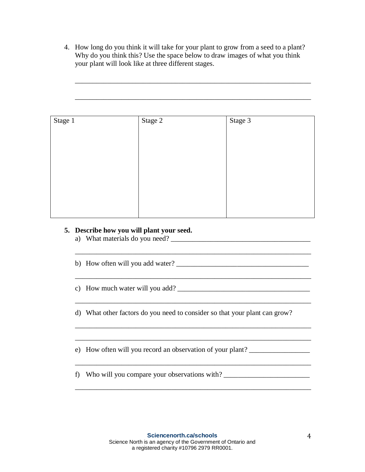4. How long do you think it will take for your plant to grow from a seed to a plant? Why do you think this? Use the space below to draw images of what you think your plant will look like at three different stages.

\_\_\_\_\_\_\_\_\_\_\_\_\_\_\_\_\_\_\_\_\_\_\_\_\_\_\_\_\_\_\_\_\_\_\_\_\_\_\_\_\_\_\_\_\_\_\_\_\_\_\_\_\_\_\_\_\_\_\_\_\_\_\_\_\_\_

| Stage 1 | Stage 2 | Stage 3 |
|---------|---------|---------|
|         |         |         |
|         |         |         |
|         |         |         |
|         |         |         |
|         |         |         |
|         |         |         |
|         |         |         |

## **5. Describe how you will plant your seed.**

a) What materials do you need? \_\_\_\_\_\_\_\_\_\_\_\_\_\_\_\_\_\_\_\_\_\_\_\_\_\_\_\_\_\_\_\_\_\_\_\_\_\_\_

b) How often will you add water? \_\_\_\_\_\_\_\_\_\_\_\_\_\_\_\_\_\_\_\_\_\_\_\_\_\_\_\_\_\_\_\_\_\_\_\_\_

c) How much water will you add? \_\_\_\_\_\_\_\_\_\_\_\_\_\_\_\_\_\_\_\_\_\_\_\_\_\_\_\_\_\_\_\_\_\_\_\_\_

d) What other factors do you need to consider so that your plant can grow?

\_\_\_\_\_\_\_\_\_\_\_\_\_\_\_\_\_\_\_\_\_\_\_\_\_\_\_\_\_\_\_\_\_\_\_\_\_\_\_\_\_\_\_\_\_\_\_\_\_\_\_\_\_\_\_\_\_\_\_\_\_\_\_\_\_\_

\_\_\_\_\_\_\_\_\_\_\_\_\_\_\_\_\_\_\_\_\_\_\_\_\_\_\_\_\_\_\_\_\_\_\_\_\_\_\_\_\_\_\_\_\_\_\_\_\_\_\_\_\_\_\_\_\_\_\_\_\_\_\_\_\_\_

\_\_\_\_\_\_\_\_\_\_\_\_\_\_\_\_\_\_\_\_\_\_\_\_\_\_\_\_\_\_\_\_\_\_\_\_\_\_\_\_\_\_\_\_\_\_\_\_\_\_\_\_\_\_\_\_\_\_\_\_\_\_\_\_\_\_

\_\_\_\_\_\_\_\_\_\_\_\_\_\_\_\_\_\_\_\_\_\_\_\_\_\_\_\_\_\_\_\_\_\_\_\_\_\_\_\_\_\_\_\_\_\_\_\_\_\_\_\_\_\_\_\_\_\_\_\_\_\_\_\_\_\_

\_\_\_\_\_\_\_\_\_\_\_\_\_\_\_\_\_\_\_\_\_\_\_\_\_\_\_\_\_\_\_\_\_\_\_\_\_\_\_\_\_\_\_\_\_\_\_\_\_\_\_\_\_\_\_\_\_\_\_\_\_\_\_\_\_\_

\_\_\_\_\_\_\_\_\_\_\_\_\_\_\_\_\_\_\_\_\_\_\_\_\_\_\_\_\_\_\_\_\_\_\_\_\_\_\_\_\_\_\_\_\_\_\_\_\_\_\_\_\_\_\_\_\_\_\_\_\_\_\_\_\_\_

\_\_\_\_\_\_\_\_\_\_\_\_\_\_\_\_\_\_\_\_\_\_\_\_\_\_\_\_\_\_\_\_\_\_\_\_\_\_\_\_\_\_\_\_\_\_\_\_\_\_\_\_\_\_\_\_\_\_\_\_\_\_\_\_\_\_

e) How often will you record an observation of your plant? \_\_\_\_\_\_\_\_\_\_\_\_\_\_\_\_\_\_\_\_\_

f) Who will you compare your observations with?  $\frac{1}{2}$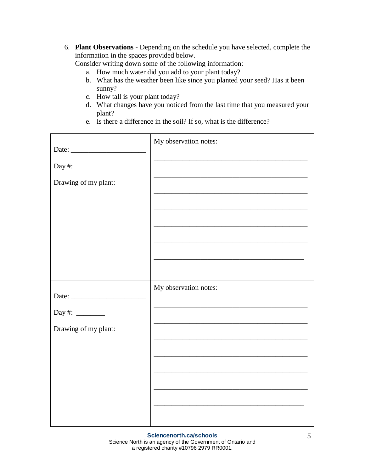6. **Plant Observations** - Depending on the schedule you have selected, complete the information in the spaces provided below.

Consider writing down some of the following information:

- a. How much water did you add to your plant today?
- b. What has the weather been like since you planted your seed? Has it been sunny?
- c. How tall is your plant today?
- d. What changes have you noticed from the last time that you measured your plant?
- e. Is there a difference in the soil? If so, what is the difference?

|                                                     | My observation notes:                                                                                                                                          |
|-----------------------------------------------------|----------------------------------------------------------------------------------------------------------------------------------------------------------------|
| Drawing of my plant:                                | the control of the control of the control of the control of the control of the control of<br><u> 1989 - Johann John Stone, mars eta biztanleria (h. 1989).</u> |
| Day #: $\frac{2}{\sqrt{2}}$<br>Drawing of my plant: | My observation notes:<br><u> 1989 - Johann Stein, marwolaethau a bhann an t-Amhair ann an t-Amhair an t-Amhair an t-Amhair an t-Amhair an</u>                  |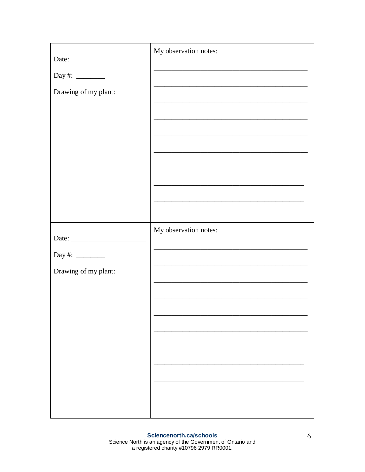|                             | My observation notes:                                                                                                |
|-----------------------------|----------------------------------------------------------------------------------------------------------------------|
| Day #: $\frac{2}{\sqrt{2}}$ |                                                                                                                      |
| Drawing of my plant:        |                                                                                                                      |
|                             |                                                                                                                      |
|                             |                                                                                                                      |
|                             | <u> 1989 - Johann Barbara, marka a shekara tsa 1989 - An tsa 1989 - An tsa 1989 - An tsa 1989 - An tsa 1989 - An</u> |
|                             |                                                                                                                      |
|                             | <u> 1989 - Johann Barn, amerikansk politiker (d. 1989)</u>                                                           |
|                             | <u> 1989 - Johann Stein, marwolaethau a bhann an t-Amhair ann an t-Amhair an t-Amhair an t-Amhair an t-Amhair an</u> |
|                             | My observation notes:                                                                                                |
|                             |                                                                                                                      |
| Day #: $\_\_$               |                                                                                                                      |
| Drawing of my plant:        |                                                                                                                      |
|                             |                                                                                                                      |
|                             |                                                                                                                      |
|                             |                                                                                                                      |
|                             |                                                                                                                      |
|                             |                                                                                                                      |
|                             |                                                                                                                      |
|                             |                                                                                                                      |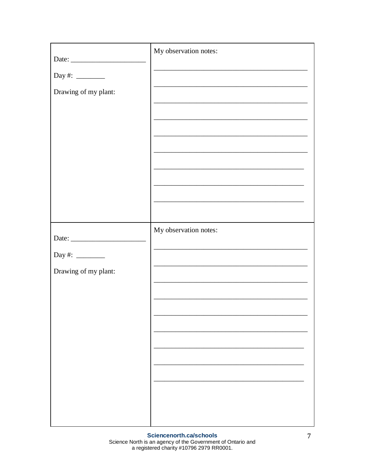| Date:                | My observation notes:                                                                                                |
|----------------------|----------------------------------------------------------------------------------------------------------------------|
| Day #: $\frac{2}{1}$ |                                                                                                                      |
| Drawing of my plant: |                                                                                                                      |
|                      | the control of the control of the control of the control of the control of the control of                            |
|                      | the control of the control of the control of the control of the control of the control of                            |
|                      |                                                                                                                      |
|                      |                                                                                                                      |
|                      | the control of the control of the control of the control of the control of the control of                            |
|                      | <u> 1989 - Johann Stein, marwolaethau a bhann an t-Amhainn an t-Amhainn an t-Amhainn an t-Amhainn an t-Amhainn a</u> |
|                      |                                                                                                                      |
|                      | My observation notes:                                                                                                |
|                      |                                                                                                                      |
| Drawing of my plant: | the control of the control of the control of the control of the control of                                           |
|                      |                                                                                                                      |
|                      |                                                                                                                      |
|                      |                                                                                                                      |
|                      |                                                                                                                      |
|                      |                                                                                                                      |
|                      |                                                                                                                      |
|                      |                                                                                                                      |
|                      |                                                                                                                      |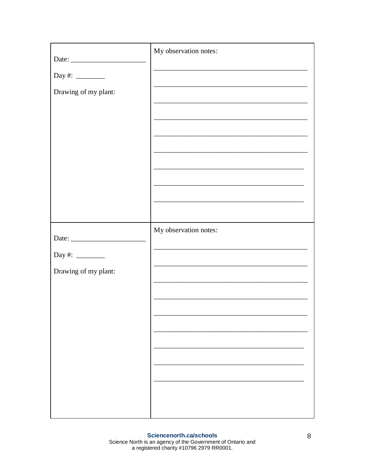|                      | My observation notes:                                                                                                |
|----------------------|----------------------------------------------------------------------------------------------------------------------|
|                      |                                                                                                                      |
| Drawing of my plant: |                                                                                                                      |
|                      |                                                                                                                      |
|                      |                                                                                                                      |
|                      |                                                                                                                      |
|                      |                                                                                                                      |
|                      | <u> 1989 - Johann Barbara, margaret eta idazlearia (h. 1989).</u>                                                    |
|                      |                                                                                                                      |
|                      | the control of the control of the control of the control of the control of the control of                            |
|                      |                                                                                                                      |
| Date: $\frac{1}{2}$  | My observation notes:                                                                                                |
| Day #: $\frac{2}{1}$ |                                                                                                                      |
| Drawing of my plant: |                                                                                                                      |
|                      | <u> 1989 - Johann Stein, marwolaethau a bhann an t-Amhair ann an t-Amhair an t-Amhair an t-Amhair an t-Amhair an</u> |
|                      |                                                                                                                      |
|                      |                                                                                                                      |
|                      |                                                                                                                      |
|                      |                                                                                                                      |
|                      |                                                                                                                      |
|                      |                                                                                                                      |
|                      |                                                                                                                      |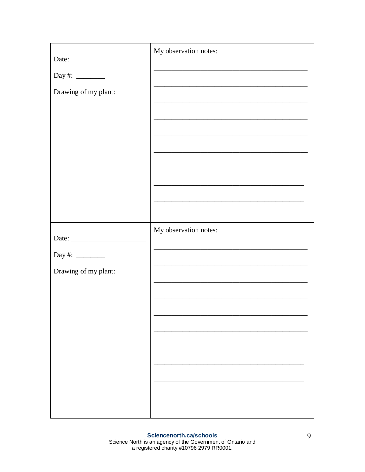|                             | My observation notes:                                                                                                |
|-----------------------------|----------------------------------------------------------------------------------------------------------------------|
| Day #: $\frac{2}{\sqrt{2}}$ |                                                                                                                      |
| Drawing of my plant:        |                                                                                                                      |
|                             |                                                                                                                      |
|                             |                                                                                                                      |
|                             | <u> 1989 - Johann Barbara, marka a shekara tsa 1989 - An tsa 1989 - An tsa 1989 - An tsa 1989 - An tsa 1989 - An</u> |
|                             |                                                                                                                      |
|                             | <u> 1989 - Johann Stein, marwolaethau a bhann an t-Amhair an t-Amhair an t-Amhair an t-Amhair an t-Amhair an t-A</u> |
|                             | <u> 1989 - Johann Stein, marwolaethau a bhann an t-Amhair ann an t-Amhair an t-Amhair an t-Amhair an t-Amhair an</u> |
|                             | My observation notes:                                                                                                |
|                             |                                                                                                                      |
| Day #: $\_\_$               |                                                                                                                      |
| Drawing of my plant:        |                                                                                                                      |
|                             |                                                                                                                      |
|                             |                                                                                                                      |
|                             |                                                                                                                      |
|                             |                                                                                                                      |
|                             |                                                                                                                      |
|                             |                                                                                                                      |
|                             |                                                                                                                      |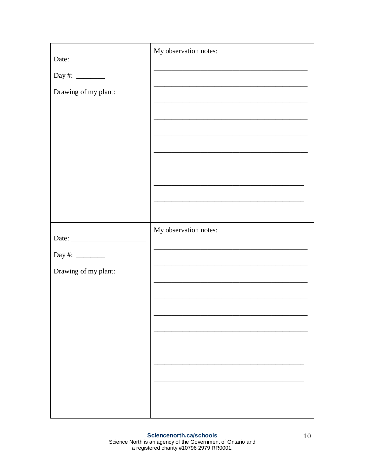| Date:                       | My observation notes:                                                                              |
|-----------------------------|----------------------------------------------------------------------------------------------------|
| Day #: $\frac{2}{1}$        |                                                                                                    |
| Drawing of my plant:        | the control of the control of the control of the control of the control of the control of          |
|                             | <u> 1989 - Johann Stoff, amerikansk politiker (d. 1989)</u>                                        |
|                             |                                                                                                    |
|                             |                                                                                                    |
|                             | <u> 1989 - Johann John Stone, mars et al. (1989)</u>                                               |
|                             | <u> 1989 - Johann Barbara, martxa alemaniar amerikan baratzaren 1980an biztanle arteko hamarka</u> |
|                             |                                                                                                    |
|                             | My observation notes:                                                                              |
| Day #: $\frac{2}{\sqrt{2}}$ |                                                                                                    |
| Drawing of my plant:        | the control of the control of the control of the control of the control of the control of          |
|                             |                                                                                                    |
|                             |                                                                                                    |
|                             |                                                                                                    |
|                             |                                                                                                    |
|                             |                                                                                                    |
|                             |                                                                                                    |
|                             |                                                                                                    |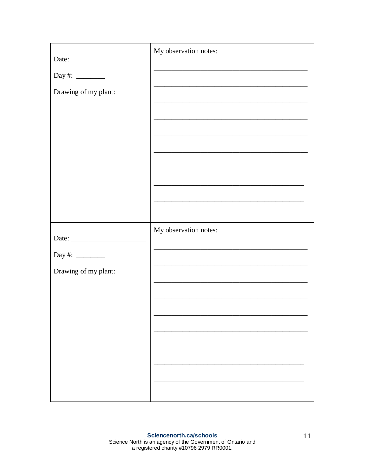| Date:                | My observation notes:                                                                                                                                                                  |
|----------------------|----------------------------------------------------------------------------------------------------------------------------------------------------------------------------------------|
| Day #: $\frac{2}{1}$ |                                                                                                                                                                                        |
| Drawing of my plant: |                                                                                                                                                                                        |
|                      | <u> 1989 - Johann Barn, mars ann an t-Amhair an t-Amhair ann an t-Amhair an t-Amhair an t-Amhair an t-Amhair an t-</u>                                                                 |
|                      |                                                                                                                                                                                        |
|                      |                                                                                                                                                                                        |
|                      | <u> 1989 - Johann John Stone, mars eta biztanleria (h. 1989).</u>                                                                                                                      |
|                      |                                                                                                                                                                                        |
|                      |                                                                                                                                                                                        |
|                      | My observation notes:                                                                                                                                                                  |
| Day #: $\frac{2}{1}$ |                                                                                                                                                                                        |
| Drawing of my plant: | the control of the control of the control of the control of the control of the control of<br>the control of the control of the control of the control of the control of the control of |
|                      |                                                                                                                                                                                        |
|                      |                                                                                                                                                                                        |
|                      |                                                                                                                                                                                        |
|                      |                                                                                                                                                                                        |
|                      |                                                                                                                                                                                        |
|                      |                                                                                                                                                                                        |